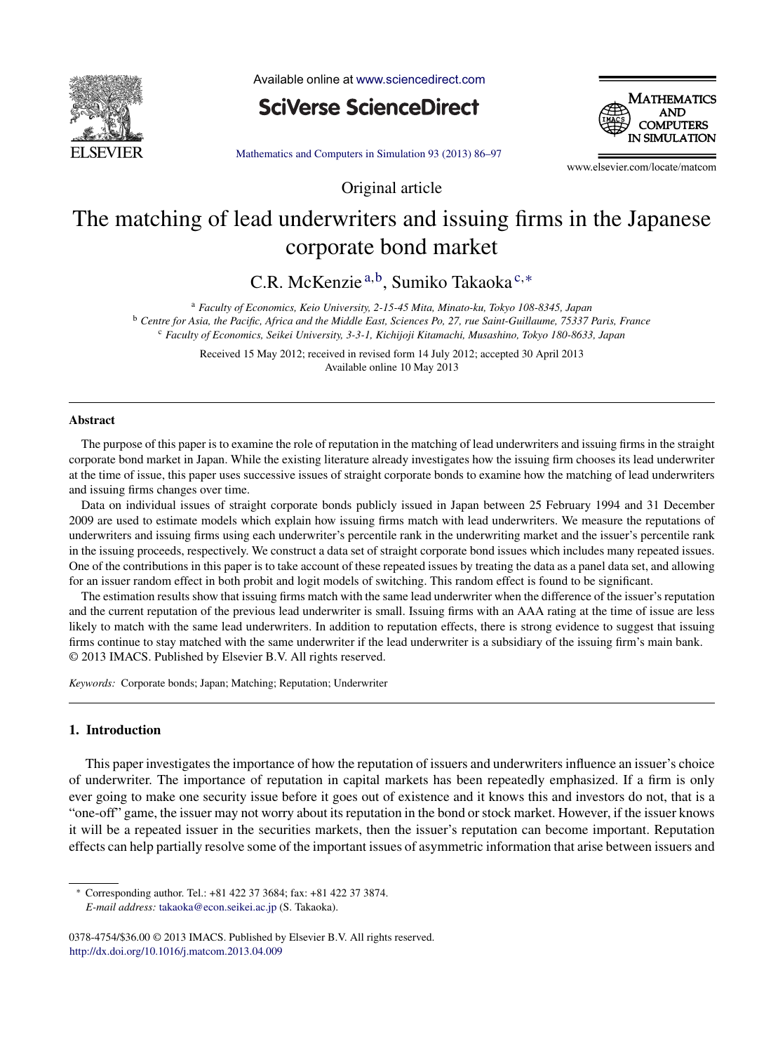

Available online at [www.sciencedirect.com](http://www.sciencedirect.com/science/journal/03784754)

**SciVerse ScienceDirect** 



[Mathematics](dx.doi.org/10.1016/j.matcom.2013.04.009) and Computers in Simulation 93 (2013) 86–97

Original article

www.elsevier.com/locate/matcom

## The matching of lead underwriters and issuing firms in the Japanese corporate bond market

C.R. McKenzie <sup>a</sup>,b, Sumiko Takaoka <sup>c</sup>,<sup>∗</sup>

<sup>a</sup> *Faculty of Economics, Keio University, 2-15-45 Mita, Minato-ku, Tokyo 108-8345, Japan* <sup>b</sup> Centre for Asia, the Pacific, Africa and the Middle East, Sciences Po, 27, rue Saint-Guillaume, 75337 Paris, France

<sup>c</sup> *Faculty of Economics, Seikei University, 3-3-1, Kichijoji Kitamachi, Musashino, Tokyo 180-8633, Japan*

Received 15 May 2012; received in revised form 14 July 2012; accepted 30 April 2013 Available online 10 May 2013

## **Abstract**

The purpose of this paper is to examine the role of reputation in the matching of lead underwriters and issuing firms in the straight corporate bond market in Japan. While the existing literature already investigates how the issuing firm chooses its lead underwriter at the time of issue, this paper uses successive issues of straight corporate bonds to examine how the matching of lead underwriters and issuing firms changes over time.

Data on individual issues of straight corporate bonds publicly issued in Japan between 25 February 1994 and 31 December 2009 are used to estimate models which explain how issuing firms match with lead underwriters. We measure the reputations of underwriters and issuing firms using each underwriter's percentile rank in the underwriting market and the issuer's percentile rank in the issuing proceeds, respectively. We construct a data set of straight corporate bond issues which includes many repeated issues. One of the contributions in this paper is to take account of these repeated issues by treating the data as a panel data set, and allowing for an issuer random effect in both probit and logit models of switching. This random effect is found to be significant.

The estimation results show that issuing firms match with the same lead underwriter when the difference of the issuer's reputation and the current reputation of the previous lead underwriter is small. Issuing firms with an AAA rating at the time of issue are less likely to match with the same lead underwriters. In addition to reputation effects, there is strong evidence to suggest that issuing firms continue to stay matched with the same underwriter if the lead underwriter is a subsidiary of the issuing firm's main bank. © 2013 IMACS. Published by Elsevier B.V. All rights reserved.

*Keywords:* Corporate bonds; Japan; Matching; Reputation; Underwriter

## **1. Introduction**

This paper investigates the importance of how the reputation of issuers and underwriters influence an issuer's choice of underwriter. The importance of reputation in capital markets has been repeatedly emphasized. If a firm is only ever going to make one security issue before it goes out of existence and it knows this and investors do not, that is a "one-off" game, the issuer may not worry about its reputation in the bond or stock market. However, if the issuer knows it will be a repeated issuer in the securities markets, then the issuer's reputation can become important. Reputation effects can help partially resolve some of the important issues of asymmetric information that arise between issuers and

<sup>∗</sup> Corresponding author. Tel.: +81 422 37 3684; fax: +81 422 37 3874. *E-mail address:* [takaoka@econ.seikei.ac.jp](mailto:takaoka@econ.seikei.ac.jp) (S. Takaoka).

<sup>0378-4754/\$36.00</sup> © 2013 IMACS. Published by Elsevier B.V. All rights reserved. [http://dx.doi.org/10.1016/j.matcom.2013.04.009](dx.doi.org/10.1016/j.matcom.2013.04.009)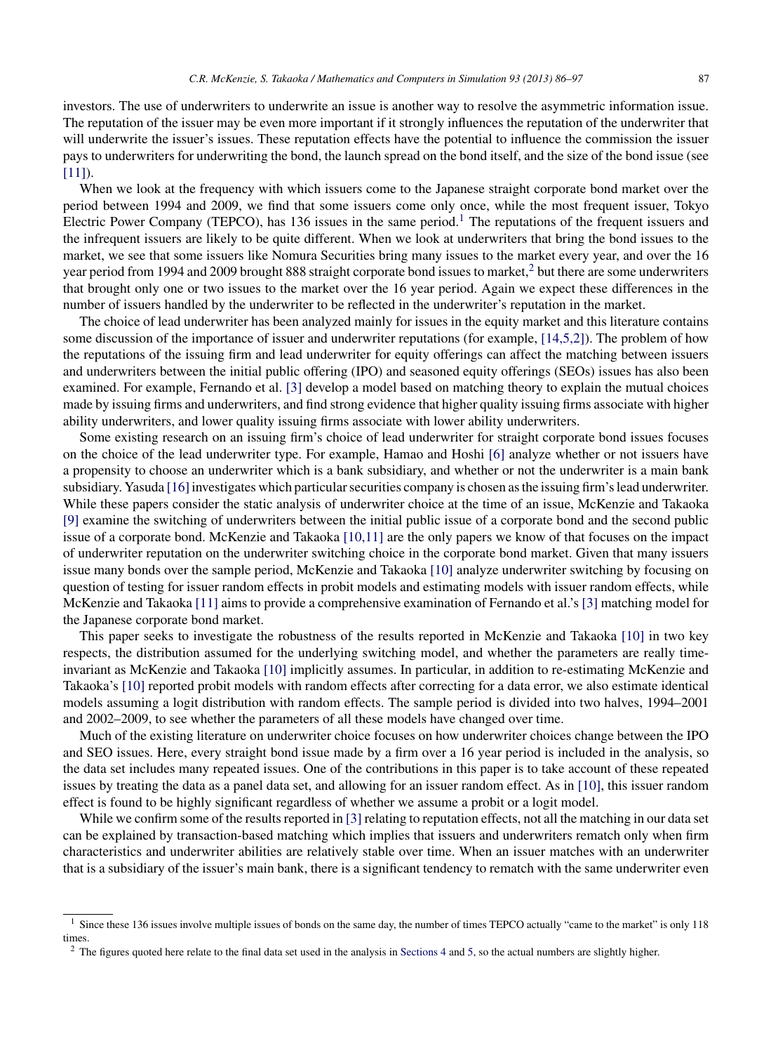investors. The use of underwriters to underwrite an issue is another way to resolve the asymmetric information issue. The reputation of the issuer may be even more important if it strongly influences the reputation of the underwriter that

will underwrite the issuer's issues. These reputation effects have the potential to influence the commission the issuer pays to underwriters for underwriting the bond, the launch spread on the bond itself, and the size of the bond issue (see  $[11]$ ). When we look at the frequency with which issuers come to the Japanese straight corporate bond market over the

period between 1994 and 2009, we find that some issuers come only once, while the most frequent issuer, Tokyo Electric Power Company (TEPCO), has 136 issues in the same period.<sup>1</sup> The reputations of the frequent issuers and the infrequent issuers are likely to be quite different. When we look at underwriters that bring the bond issues to the market, we see that some issuers like Nomura Securities bring many issues to the market every year, and over the 16 year period from 1994 and 2009 brought 888 straight corporate bond issues to market,<sup>2</sup> but there are some underwriters that brought only one or two issues to the market over the 16 year period. Again we expect these differences in the number of issuers handled by the underwriter to be reflected in the underwriter's reputation in the market.

The choice of lead underwriter has been analyzed mainly for issues in the equity market and this literature contains some discussion of the importance of issuer and underwriter reputations (for example, [\[14,5,2\]\).](#page--1-0) The problem of how the reputations of the issuing firm and lead underwriter for equity offerings can affect the matching between issuers and underwriters between the initial public offering (IPO) and seasoned equity offerings (SEOs) issues has also been examined. For example, Fernando et al. [\[3\]](#page--1-0) develop a model based on matching theory to explain the mutual choices made by issuing firms and underwriters, and find strong evidence that higher quality issuing firms associate with higher ability underwriters, and lower quality issuing firms associate with lower ability underwriters.

Some existing research on an issuing firm's choice of lead underwriter for straight corporate bond issues focuses on the choice of the lead underwriter type. For example, Hamao and Hoshi [\[6\]](#page--1-0) analyze whether or not issuers have a propensity to choose an underwriter which is a bank subsidiary, and whether or not the underwriter is a main bank subsidiary. Yasuda [16] investigates which particular securities company is chosen as the issuing firm's lead underwriter. While these papers consider the static analysis of underwriter choice at the time of an issue, McKenzie and Takaoka [\[9\]](#page--1-0) examine the switching of underwriters between the initial public issue of a corporate bond and the second public issue of a corporate bond. McKenzie and Takaoka [\[10,11\]](#page--1-0) are the only papers we know of that focuses on the impact of underwriter reputation on the underwriter switching choice in the corporate bond market. Given that many issuers issue many bonds over the sample period, McKenzie and Takaoka [\[10\]](#page--1-0) analyze underwriter switching by focusing on question of testing for issuer random effects in probit models and estimating models with issuer random effects, while McKenzie and Takaoka [\[11\]](#page--1-0) aims to provide a comprehensive examination of Fernando et al.'s [\[3\]](#page--1-0) matching model for the Japanese corporate bond market.

This paper seeks to investigate the robustness of the results reported in McKenzie and Takaoka [\[10\]](#page--1-0) in two key respects, the distribution assumed for the underlying switching model, and whether the parameters are really timeinvariant as McKenzie and Takaoka [\[10\]](#page--1-0) implicitly assumes. In particular, in addition to re-estimating McKenzie and Takaoka's [\[10\]](#page--1-0) reported probit models with random effects after correcting for a data error, we also estimate identical models assuming a logit distribution with random effects. The sample period is divided into two halves, 1994–2001 and 2002–2009, to see whether the parameters of all these models have changed over time.

Much of the existing literature on underwriter choice focuses on how underwriter choices change between the IPO and SEO issues. Here, every straight bond issue made by a firm over a 16 year period is included in the analysis, so the data set includes many repeated issues. One of the contributions in this paper is to take account of these repeated issues by treating the data as a panel data set, and allowing for an issuer random effect. As in [\[10\],](#page--1-0) this issuer random effect is found to be highly significant regardless of whether we assume a probit or a logit model.

While we confirm some of the results reported in  $[3]$  relating to reputation effects, not all the matching in our data set can be explained by transaction-based matching which implies that issuers and underwriters rematch only when firm characteristics and underwriter abilities are relatively stable over time. When an issuer matches with an underwriter that is a subsidiary of the issuer's main bank, there is a significant tendency to rematch with the same underwriter even

<sup>&</sup>lt;sup>1</sup> Since these 136 issues involve multiple issues of bonds on the same day, the number of times TEPCO actually "came to the market" is only 118 times.

 $2$  The figures quoted here relate to the final data set used in the analysis in [Sections](#page--1-0) [4](#page--1-0) and [5,](#page--1-0) so the actual numbers are slightly higher.